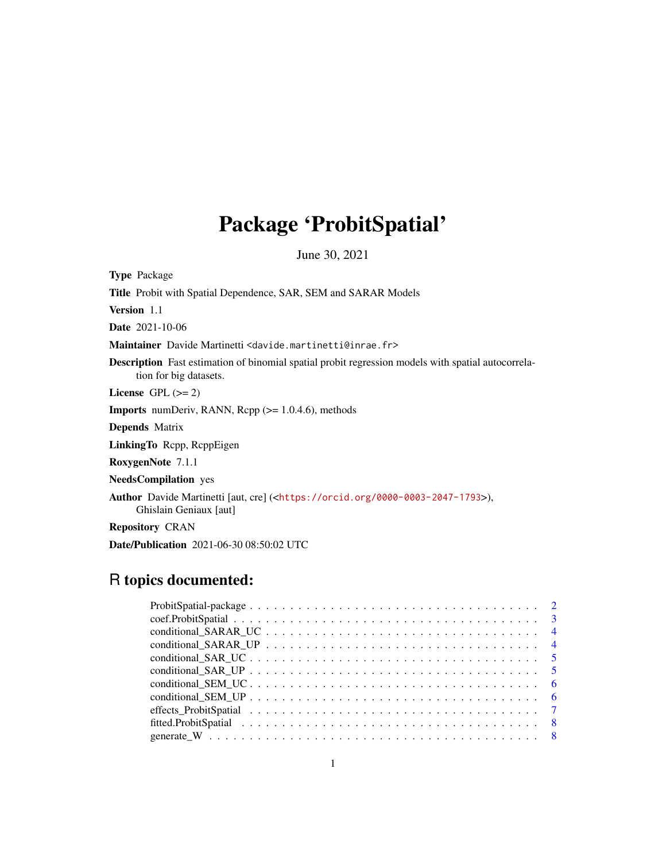# Package 'ProbitSpatial'

June 30, 2021

<span id="page-0-0"></span>Type Package Title Probit with Spatial Dependence, SAR, SEM and SARAR Models Version 1.1 Date 2021-10-06 Maintainer Davide Martinetti <davide.martinetti@inrae.fr> Description Fast estimation of binomial spatial probit regression models with spatial autocorrelation for big datasets. License GPL  $(>= 2)$ **Imports** numDeriv, RANN, Rcpp  $(>= 1.0.4.6)$ , methods Depends Matrix LinkingTo Rcpp, RcppEigen RoxygenNote 7.1.1 NeedsCompilation yes Author Davide Martinetti [aut, cre] (<<https://orcid.org/0000-0003-2047-1793>>), Ghislain Geniaux [aut] Repository CRAN

# Date/Publication 2021-06-30 08:50:02 UTC

# R topics documented: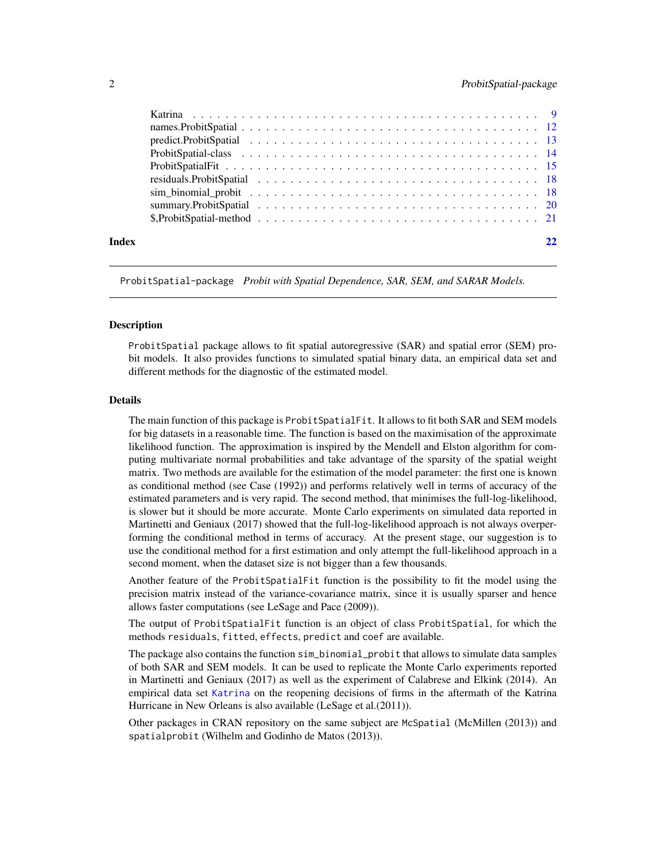<span id="page-1-0"></span>

|       | predict.ProbitSpatial $\ldots \ldots \ldots \ldots \ldots \ldots \ldots \ldots \ldots \ldots \ldots \ldots$ |  |
|-------|-------------------------------------------------------------------------------------------------------------|--|
|       |                                                                                                             |  |
|       |                                                                                                             |  |
|       |                                                                                                             |  |
|       |                                                                                                             |  |
|       |                                                                                                             |  |
|       |                                                                                                             |  |
| Index |                                                                                                             |  |

ProbitSpatial-package *Probit with Spatial Dependence, SAR, SEM, and SARAR Models.*

#### **Description**

ProbitSpatial package allows to fit spatial autoregressive (SAR) and spatial error (SEM) probit models. It also provides functions to simulated spatial binary data, an empirical data set and different methods for the diagnostic of the estimated model.

# Details

The main function of this package is ProbitSpatialFit. It allows to fit both SAR and SEM models for big datasets in a reasonable time. The function is based on the maximisation of the approximate likelihood function. The approximation is inspired by the Mendell and Elston algorithm for computing multivariate normal probabilities and take advantage of the sparsity of the spatial weight matrix. Two methods are available for the estimation of the model parameter: the first one is known as conditional method (see Case (1992)) and performs relatively well in terms of accuracy of the estimated parameters and is very rapid. The second method, that minimises the full-log-likelihood, is slower but it should be more accurate. Monte Carlo experiments on simulated data reported in Martinetti and Geniaux (2017) showed that the full-log-likelihood approach is not always overperforming the conditional method in terms of accuracy. At the present stage, our suggestion is to use the conditional method for a first estimation and only attempt the full-likelihood approach in a second moment, when the dataset size is not bigger than a few thousands.

Another feature of the ProbitSpatialFit function is the possibility to fit the model using the precision matrix instead of the variance-covariance matrix, since it is usually sparser and hence allows faster computations (see LeSage and Pace (2009)).

The output of ProbitSpatialFit function is an object of class ProbitSpatial, for which the methods residuals, fitted, effects, predict and coef are available.

The package also contains the function sim\_binomial\_probit that allows to simulate data samples of both SAR and SEM models. It can be used to replicate the Monte Carlo experiments reported in Martinetti and Geniaux (2017) as well as the experiment of Calabrese and Elkink (2014). An empirical data set [Katrina](#page-8-1) on the reopening decisions of firms in the aftermath of the Katrina Hurricane in New Orleans is also available (LeSage et al.(2011)).

Other packages in CRAN repository on the same subject are McSpatial (McMillen (2013)) and spatialprobit (Wilhelm and Godinho de Matos (2013)).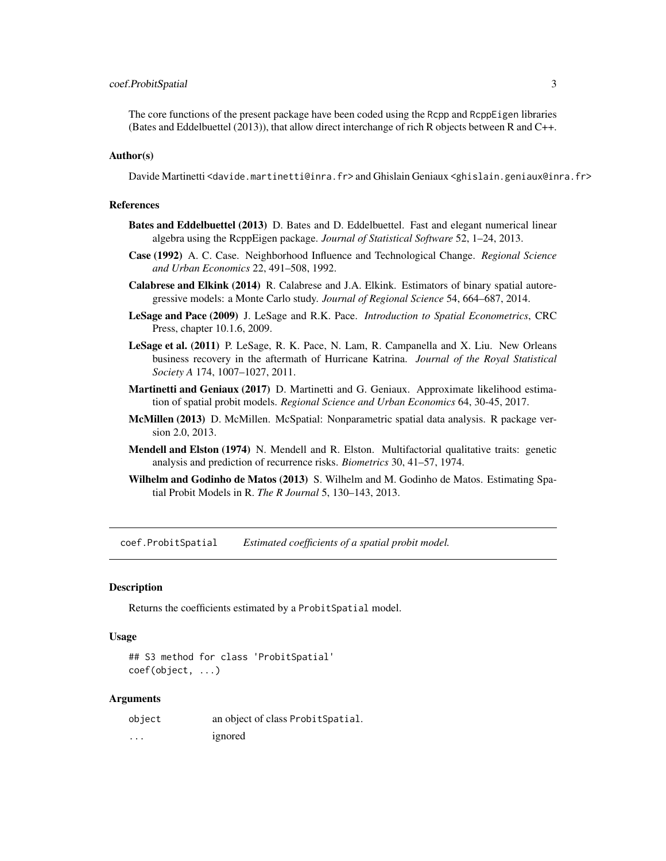# <span id="page-2-0"></span>coef.ProbitSpatial 3

The core functions of the present package have been coded using the Rcpp and RcppEigen libraries (Bates and Eddelbuettel (2013)), that allow direct interchange of rich R objects between R and C++.

#### Author(s)

Davide Martinetti <davide.martinetti@inra.fr> and Ghislain Geniaux <ghislain.geniaux@inra.fr>

#### References

- Bates and Eddelbuettel (2013) D. Bates and D. Eddelbuettel. Fast and elegant numerical linear algebra using the RcppEigen package. *Journal of Statistical Software* 52, 1–24, 2013.
- Case (1992) A. C. Case. Neighborhood Influence and Technological Change. *Regional Science and Urban Economics* 22, 491–508, 1992.
- Calabrese and Elkink (2014) R. Calabrese and J.A. Elkink. Estimators of binary spatial autoregressive models: a Monte Carlo study. *Journal of Regional Science* 54, 664–687, 2014.
- LeSage and Pace (2009) J. LeSage and R.K. Pace. *Introduction to Spatial Econometrics*, CRC Press, chapter 10.1.6, 2009.
- LeSage et al. (2011) P. LeSage, R. K. Pace, N. Lam, R. Campanella and X. Liu. New Orleans business recovery in the aftermath of Hurricane Katrina. *Journal of the Royal Statistical Society A* 174, 1007–1027, 2011.
- Martinetti and Geniaux (2017) D. Martinetti and G. Geniaux. Approximate likelihood estimation of spatial probit models. *Regional Science and Urban Economics* 64, 30-45, 2017.
- McMillen (2013) D. McMillen. McSpatial: Nonparametric spatial data analysis. R package version 2.0, 2013.
- Mendell and Elston (1974) N. Mendell and R. Elston. Multifactorial qualitative traits: genetic analysis and prediction of recurrence risks. *Biometrics* 30, 41–57, 1974.
- Wilhelm and Godinho de Matos (2013) S. Wilhelm and M. Godinho de Matos. Estimating Spatial Probit Models in R. *The R Journal* 5, 130–143, 2013.

coef.ProbitSpatial *Estimated coefficients of a spatial probit model.*

#### **Description**

Returns the coefficients estimated by a ProbitSpatial model.

#### Usage

```
## S3 method for class 'ProbitSpatial'
coef(object, ...)
```
### Arguments

| object | an object of class Probit Spatial. |
|--------|------------------------------------|
| .      | ignored                            |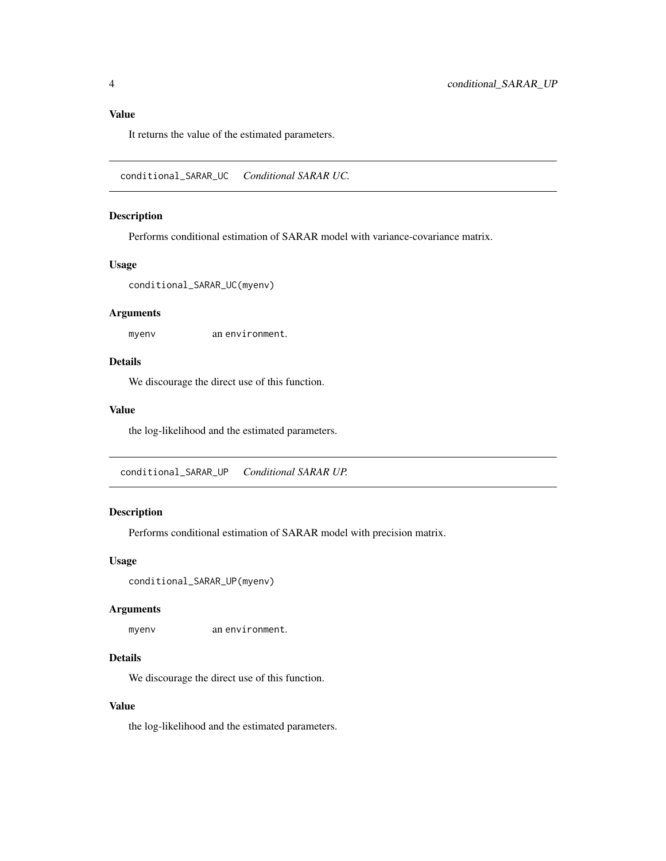# <span id="page-3-0"></span>Value

It returns the value of the estimated parameters.

conditional\_SARAR\_UC *Conditional SARAR UC.*

# Description

Performs conditional estimation of SARAR model with variance-covariance matrix.

# Usage

conditional\_SARAR\_UC(myenv)

# Arguments

myenv an environment.

#### Details

We discourage the direct use of this function.

#### Value

the log-likelihood and the estimated parameters.

conditional\_SARAR\_UP *Conditional SARAR UP.*

# Description

Performs conditional estimation of SARAR model with precision matrix.

# Usage

```
conditional_SARAR_UP(myenv)
```
# Arguments

myenv an environment.

#### Details

We discourage the direct use of this function.

# Value

the log-likelihood and the estimated parameters.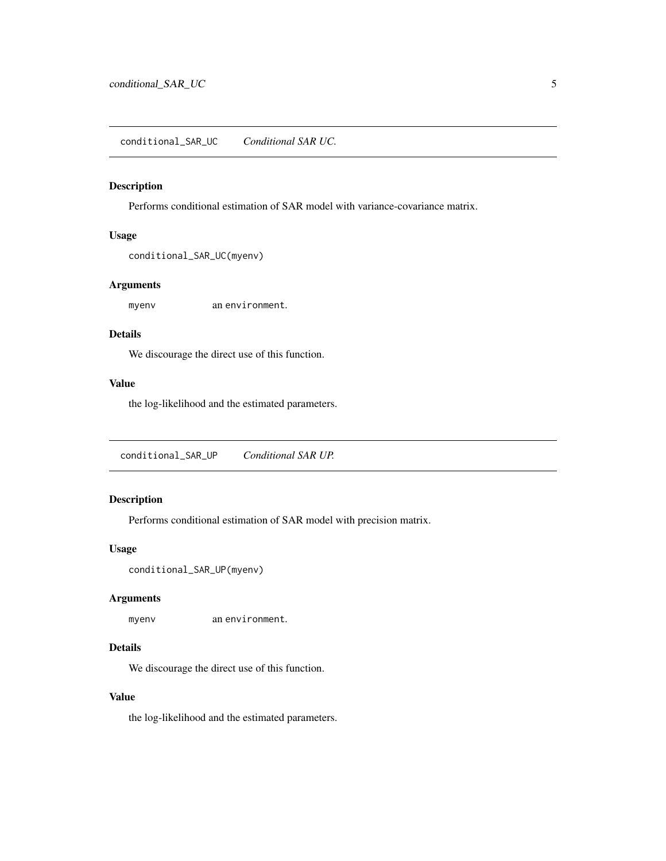<span id="page-4-0"></span>conditional\_SAR\_UC *Conditional SAR UC.*

# Description

Performs conditional estimation of SAR model with variance-covariance matrix.

#### Usage

```
conditional_SAR_UC(myenv)
```
# Arguments

myenv an environment.

# Details

We discourage the direct use of this function.

# Value

the log-likelihood and the estimated parameters.

conditional\_SAR\_UP *Conditional SAR UP.*

# Description

Performs conditional estimation of SAR model with precision matrix.

# Usage

```
conditional_SAR_UP(myenv)
```
# Arguments

myenv an environment.

# Details

We discourage the direct use of this function.

# Value

the log-likelihood and the estimated parameters.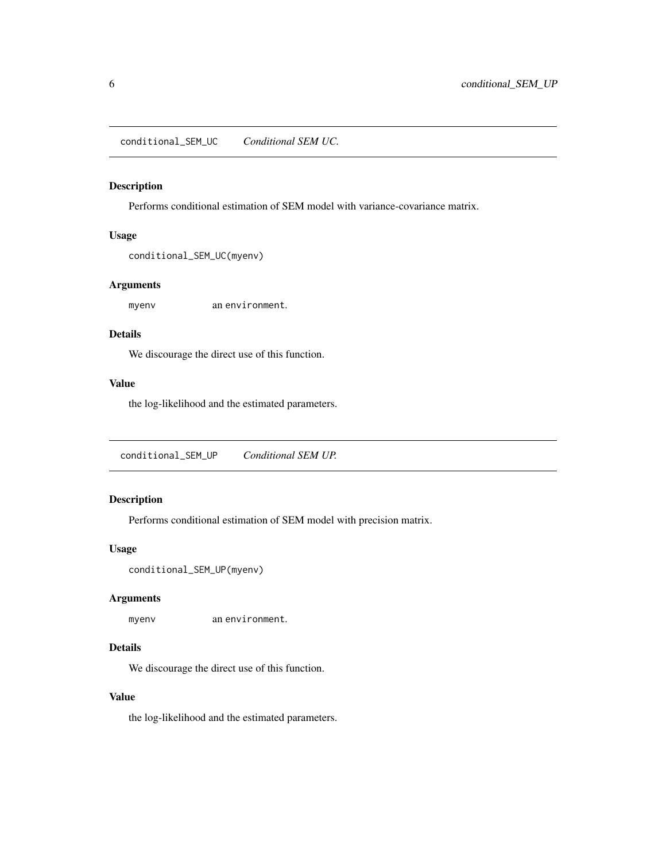<span id="page-5-0"></span>conditional\_SEM\_UC *Conditional SEM UC.*

# Description

Performs conditional estimation of SEM model with variance-covariance matrix.

#### Usage

```
conditional_SEM_UC(myenv)
```
# Arguments

myenv an environment.

#### Details

We discourage the direct use of this function.

# Value

the log-likelihood and the estimated parameters.

conditional\_SEM\_UP *Conditional SEM UP.*

# Description

Performs conditional estimation of SEM model with precision matrix.

# Usage

```
conditional_SEM_UP(myenv)
```
# Arguments

myenv an environment.

# Details

We discourage the direct use of this function.

# Value

the log-likelihood and the estimated parameters.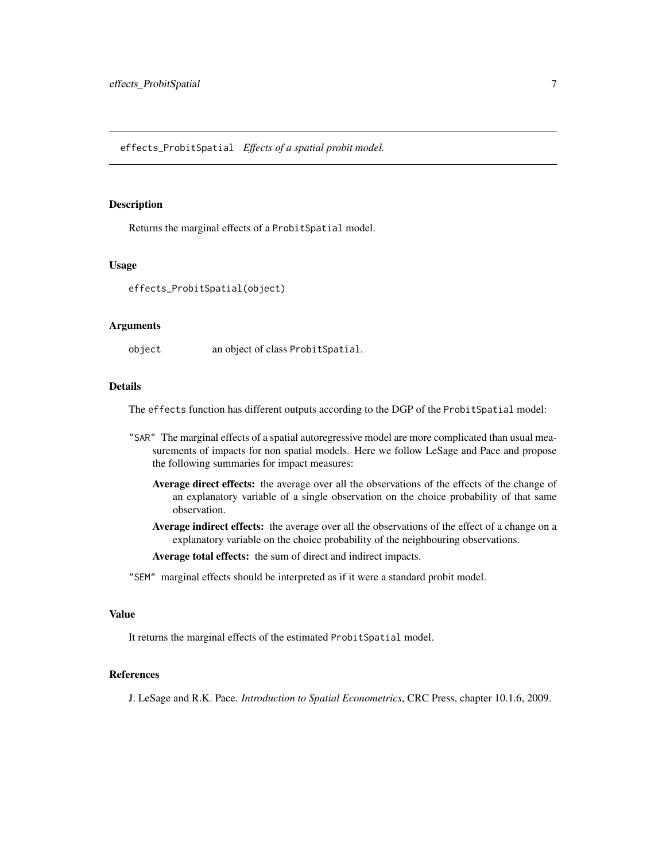#### <span id="page-6-0"></span>Description

Returns the marginal effects of a ProbitSpatial model.

#### Usage

effects\_ProbitSpatial(object)

#### Arguments

object an object of class ProbitSpatial.

# Details

The effects function has different outputs according to the DGP of the ProbitSpatial model:

- "SAR" The marginal effects of a spatial autoregressive model are more complicated than usual measurements of impacts for non spatial models. Here we follow LeSage and Pace and propose the following summaries for impact measures:
	- Average direct effects: the average over all the observations of the effects of the change of an explanatory variable of a single observation on the choice probability of that same observation.
	- Average indirect effects: the average over all the observations of the effect of a change on a explanatory variable on the choice probability of the neighbouring observations.

Average total effects: the sum of direct and indirect impacts.

"SEM" marginal effects should be interpreted as if it were a standard probit model.

#### Value

It returns the marginal effects of the estimated ProbitSpatial model.

# References

J. LeSage and R.K. Pace. *Introduction to Spatial Econometrics*, CRC Press, chapter 10.1.6, 2009.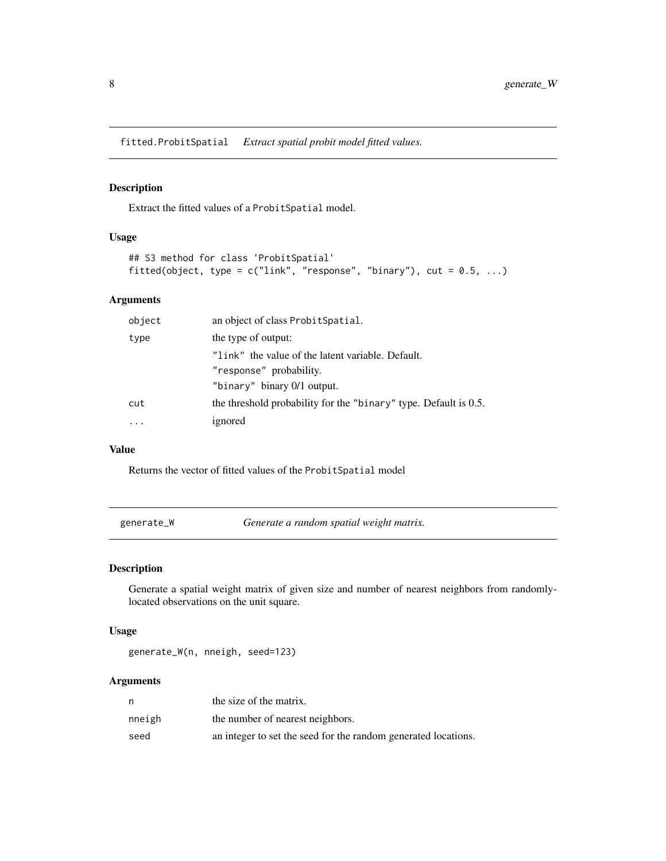<span id="page-7-0"></span>fitted.ProbitSpatial *Extract spatial probit model fitted values.*

# Description

Extract the fitted values of a ProbitSpatial model.

# Usage

```
## S3 method for class 'ProbitSpatial'
fitted(object, type = c("link", "response", "binary"), cut = 0.5, ...)
```
# Arguments

| object                      | an object of class Probit Spatial.                                  |
|-----------------------------|---------------------------------------------------------------------|
| the type of output:<br>type |                                                                     |
|                             | "link" the value of the latent variable. Default.                   |
|                             | "response" probability.                                             |
|                             | "binary" binary 0/1 output.                                         |
| cut                         | the threshold probability for the "binary" type. Default is $0.5$ . |
|                             | ignored                                                             |

#### Value

Returns the vector of fitted values of the ProbitSpatial model

<span id="page-7-1"></span>

# Description

Generate a spatial weight matrix of given size and number of nearest neighbors from randomlylocated observations on the unit square.

# Usage

generate\_W(n, nneigh, seed=123)

# Arguments

| n      | the size of the matrix.                                        |
|--------|----------------------------------------------------------------|
| nneigh | the number of nearest neighbors.                               |
| seed   | an integer to set the seed for the random generated locations. |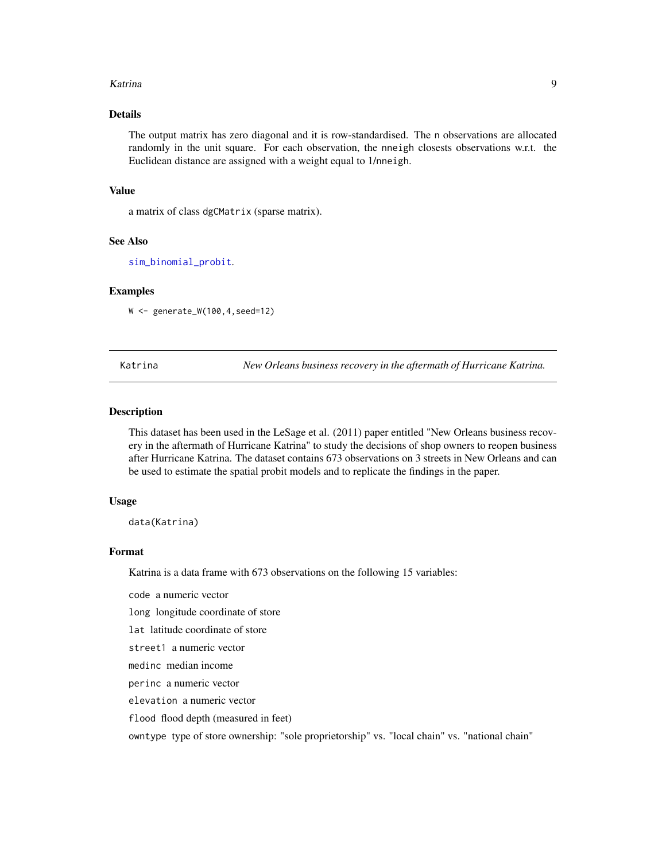#### <span id="page-8-0"></span>Katrina 9

# Details

The output matrix has zero diagonal and it is row-standardised. The n observations are allocated randomly in the unit square. For each observation, the nneigh closests observations w.r.t. the Euclidean distance are assigned with a weight equal to 1/nneigh.

### Value

a matrix of class dgCMatrix (sparse matrix).

#### See Also

[sim\\_binomial\\_probit](#page-17-1).

#### Examples

W <- generate\_W(100,4,seed=12)

<span id="page-8-1"></span>Katrina *New Orleans business recovery in the aftermath of Hurricane Katrina.*

#### Description

This dataset has been used in the LeSage et al. (2011) paper entitled "New Orleans business recovery in the aftermath of Hurricane Katrina" to study the decisions of shop owners to reopen business after Hurricane Katrina. The dataset contains 673 observations on 3 streets in New Orleans and can be used to estimate the spatial probit models and to replicate the findings in the paper.

#### Usage

data(Katrina)

# Format

Katrina is a data frame with 673 observations on the following 15 variables:

code a numeric vector

long longitude coordinate of store

lat latitude coordinate of store

street1 a numeric vector

medinc median income

perinc a numeric vector

elevation a numeric vector

flood flood depth (measured in feet)

owntype type of store ownership: "sole proprietorship" vs. "local chain" vs. "national chain"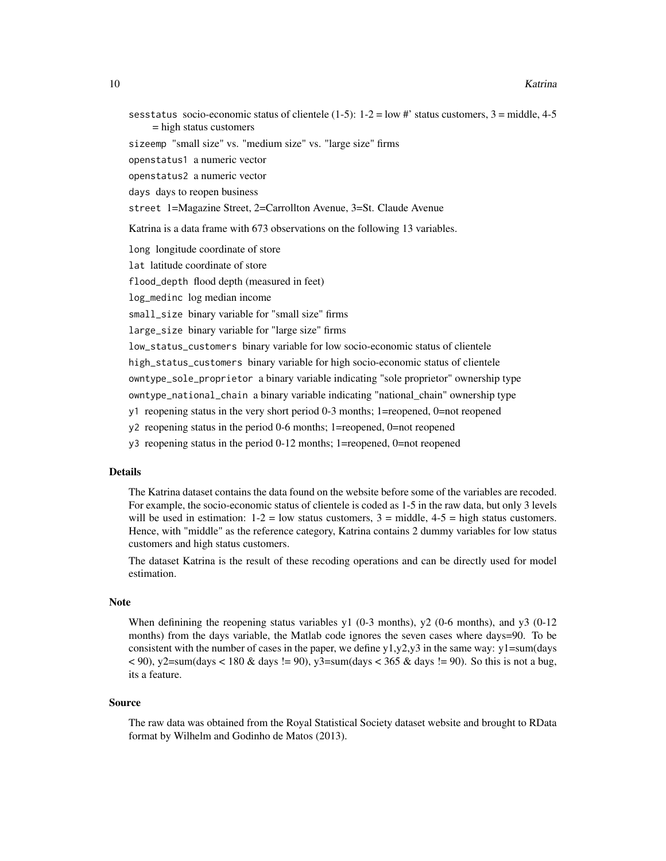- sesstatus socio-economic status of clientele (1-5):  $1-2 = \text{low } #$ ' status customers,  $3 = \text{middle}, 4-5$ = high status customers
- sizeemp "small size" vs. "medium size" vs. "large size" firms

openstatus1 a numeric vector

openstatus2 a numeric vector

days days to reopen business

street 1=Magazine Street, 2=Carrollton Avenue, 3=St. Claude Avenue

Katrina is a data frame with 673 observations on the following 13 variables.

long longitude coordinate of store

lat latitude coordinate of store

flood\_depth flood depth (measured in feet)

log\_medinc log median income

small\_size binary variable for "small size" firms

large\_size binary variable for "large size" firms

low\_status\_customers binary variable for low socio-economic status of clientele

high\_status\_customers binary variable for high socio-economic status of clientele

owntype\_sole\_proprietor a binary variable indicating "sole proprietor" ownership type

owntype\_national\_chain a binary variable indicating "national\_chain" ownership type

- y1 reopening status in the very short period 0-3 months; 1=reopened, 0=not reopened
- y2 reopening status in the period 0-6 months; 1=reopened, 0=not reopened
- y3 reopening status in the period 0-12 months; 1=reopened, 0=not reopened

# Details

The Katrina dataset contains the data found on the website before some of the variables are recoded. For example, the socio-economic status of clientele is coded as 1-5 in the raw data, but only 3 levels will be used in estimation:  $1-2 =$  low status customers,  $3 =$  middle,  $4-5 =$  high status customers. Hence, with "middle" as the reference category, Katrina contains 2 dummy variables for low status customers and high status customers.

The dataset Katrina is the result of these recoding operations and can be directly used for model estimation.

#### Note

When definining the reopening status variables y1  $(0-3 \text{ months})$ , y2  $(0-6 \text{ months})$ , and y3  $(0-12 \text{ months})$ months) from the days variable, the Matlab code ignores the seven cases where days=90. To be consistent with the number of cases in the paper, we define  $y1, y2, y3$  in the same way:  $y1=sum/day$  $<$  90), y2=sum(days  $<$  180 & days != 90), y3=sum(days  $<$  365 & days != 90). So this is not a bug, its a feature.

#### Source

The raw data was obtained from the Royal Statistical Society dataset website and brought to RData format by Wilhelm and Godinho de Matos (2013).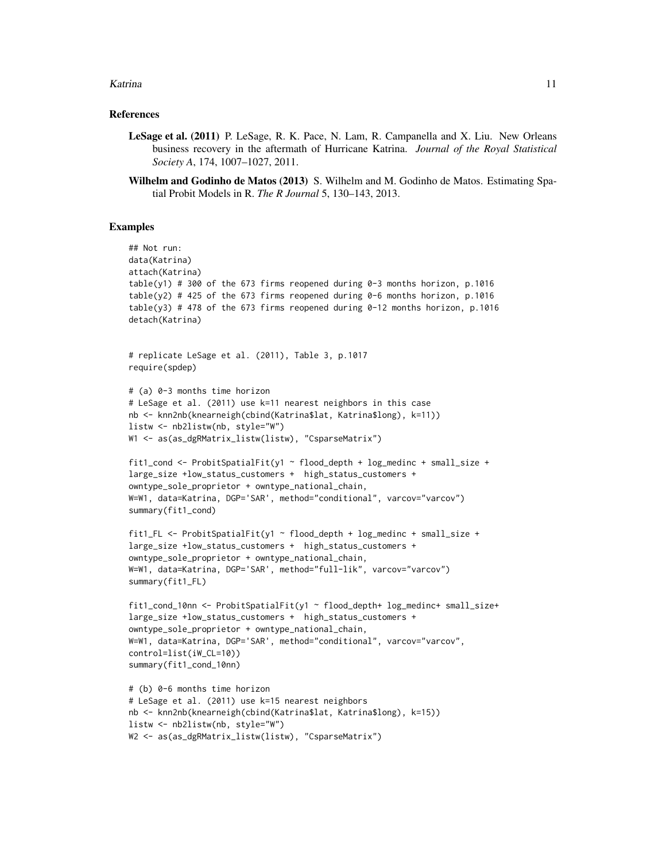#### Katrina **11**

#### References

- LeSage et al. (2011) P. LeSage, R. K. Pace, N. Lam, R. Campanella and X. Liu. New Orleans business recovery in the aftermath of Hurricane Katrina. *Journal of the Royal Statistical Society A*, 174, 1007–1027, 2011.
- Wilhelm and Godinho de Matos (2013) S. Wilhelm and M. Godinho de Matos. Estimating Spatial Probit Models in R. *The R Journal* 5, 130–143, 2013.

#### Examples

```
## Not run:
data(Katrina)
attach(Katrina)
table(y1) # 300 of the 673 firms reopened during 0-3 months horizon, p.1016
table(y2) # 425 of the 673 firms reopened during 0-6 months horizon, p.1016
table(y3) # 478 of the 673 firms reopened during 0-12 months horizon, p.1016
detach(Katrina)
# replicate LeSage et al. (2011), Table 3, p.1017
require(spdep)
# (a) 0-3 months time horizon
# LeSage et al. (2011) use k=11 nearest neighbors in this case
nb <- knn2nb(knearneigh(cbind(Katrina$lat, Katrina$long), k=11))
listw <- nb2listw(nb, style="W")
W1 <- as(as_dgRMatrix_listw(listw), "CsparseMatrix")
fit1_cond <- ProbitSpatialFit(y1 ~ flood_depth + log_medinc + small_size +
large_size +low_status_customers + high_status_customers +
owntype_sole_proprietor + owntype_national_chain,
W=W1, data=Katrina, DGP='SAR', method="conditional", varcov="varcov")
summary(fit1_cond)
fit1_FL <- ProbitSpatialFit(y1 ~ flood_depth + log_medinc + small_size +
large_size +low_status_customers + high_status_customers +
owntype_sole_proprietor + owntype_national_chain,
W=W1, data=Katrina, DGP='SAR', method="full-lik", varcov="varcov")
summary(fit1_FL)
fit1_cond_10nn <- ProbitSpatialFit(y1 ~ flood_depth+ log_medinc+ small_size+
large_size +low_status_customers + high_status_customers +
owntype_sole_proprietor + owntype_national_chain,
W=W1, data=Katrina, DGP='SAR', method="conditional", varcov="varcov",
control=list(iW_CL=10))
summary(fit1_cond_10nn)
# (b) 0-6 months time horizon
# LeSage et al. (2011) use k=15 nearest neighbors
nb <- knn2nb(knearneigh(cbind(Katrina$lat, Katrina$long), k=15))
listw <- nb2listw(nb, style="W")
```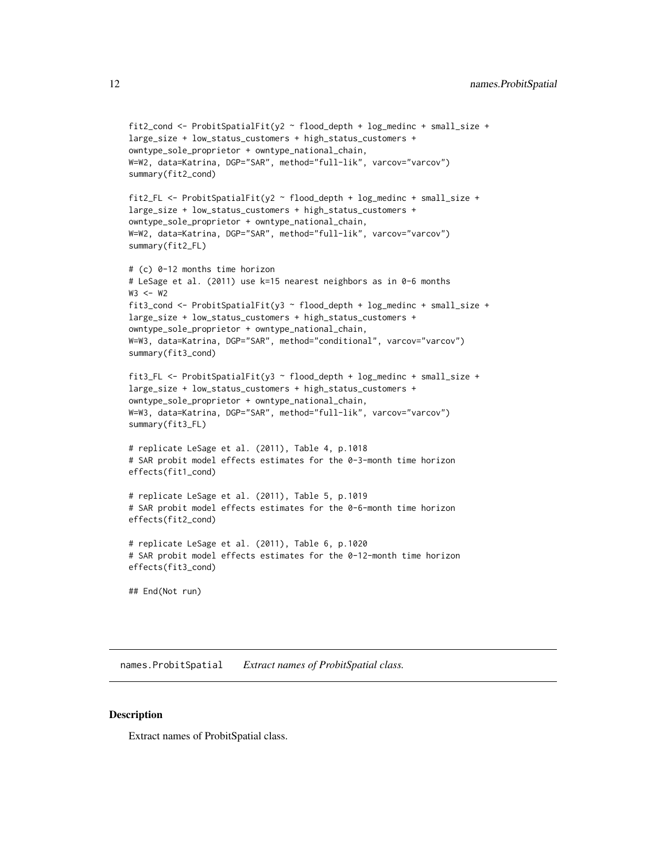```
fit2_cond <- ProbitSpatialFit(y2 ~ flood_depth + log_medinc + small_size +
large_size + low_status_customers + high_status_customers +
owntype_sole_proprietor + owntype_national_chain,
W=W2, data=Katrina, DGP="SAR", method="full-lik", varcov="varcov")
summary(fit2_cond)
fit2_FL <- ProbitSpatialFit(y2 ~ flood_depth + log_medinc + small_size +
large_size + low_status_customers + high_status_customers +
owntype_sole_proprietor + owntype_national_chain,
W=W2, data=Katrina, DGP="SAR", method="full-lik", varcov="varcov")
summary(fit2_FL)
# (c) 0-12 months time horizon
# LeSage et al. (2011) use k=15 nearest neighbors as in 0-6 months
W3 <- W2fit3_cond <- ProbitSpatialFit(y3 ~ flood_depth + log_medinc + small_size +
large_size + low_status_customers + high_status_customers +
owntype_sole_proprietor + owntype_national_chain,
W=W3, data=Katrina, DGP="SAR", method="conditional", varcov="varcov")
summary(fit3_cond)
fit3_FL <- ProbitSpatialFit(y3 ~ flood_depth + log_medinc + small_size +
large_size + low_status_customers + high_status_customers +
owntype_sole_proprietor + owntype_national_chain,
W=W3, data=Katrina, DGP="SAR", method="full-lik", varcov="varcov")
summary(fit3_FL)
# replicate LeSage et al. (2011), Table 4, p.1018
# SAR probit model effects estimates for the 0-3-month time horizon
effects(fit1_cond)
# replicate LeSage et al. (2011), Table 5, p.1019
# SAR probit model effects estimates for the 0-6-month time horizon
effects(fit2_cond)
# replicate LeSage et al. (2011), Table 6, p.1020
# SAR probit model effects estimates for the 0-12-month time horizon
effects(fit3_cond)
```

```
## End(Not run)
```
names.ProbitSpatial *Extract names of ProbitSpatial class.*

#### **Description**

Extract names of ProbitSpatial class.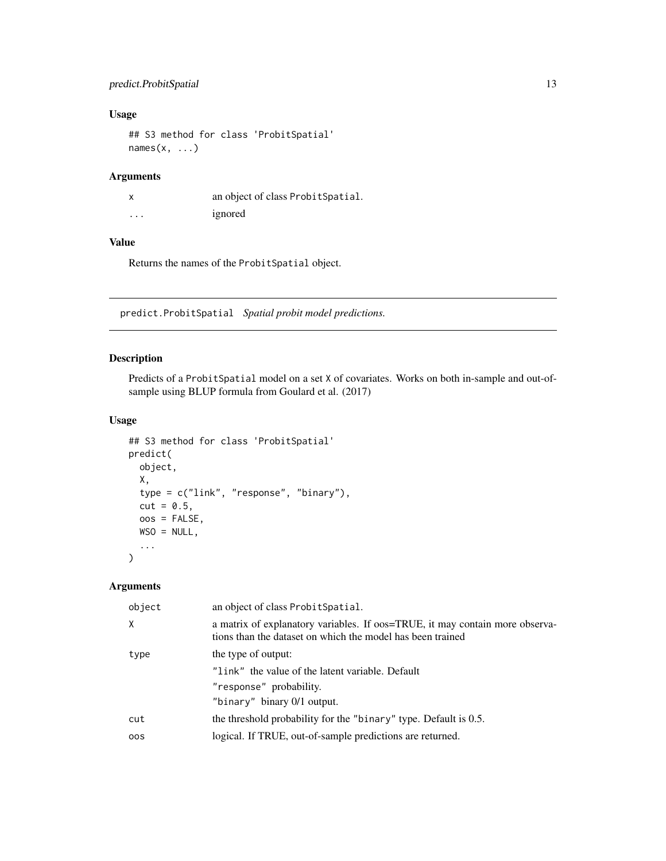# <span id="page-12-0"></span>predict.ProbitSpatial 13

# Usage

```
## S3 method for class 'ProbitSpatial'
names(x, \ldots)
```
# Arguments

| x       | an object of class Probit Spatial. |
|---------|------------------------------------|
| $\cdot$ | ignored                            |

# Value

Returns the names of the ProbitSpatial object.

predict.ProbitSpatial *Spatial probit model predictions.*

# Description

Predicts of a ProbitSpatial model on a set X of covariates. Works on both in-sample and out-ofsample using BLUP formula from Goulard et al. (2017)

# Usage

```
## S3 method for class 'ProbitSpatial'
predict(
 object,
 X,
  type = c("link", "response", "binary"),
 cut = 0.5,
 oos = FALSE,
 WSO = NULL,...
\mathcal{L}
```
# Arguments

| object   | an object of class Probit Spatial.                                                                                                         |  |
|----------|--------------------------------------------------------------------------------------------------------------------------------------------|--|
| $\times$ | a matrix of explanatory variables. If oos=TRUE, it may contain more observa-<br>tions than the dataset on which the model has been trained |  |
| type     | the type of output:                                                                                                                        |  |
|          | "link" the value of the latent variable. Default                                                                                           |  |
|          | "response" probability.                                                                                                                    |  |
|          | "binary" binary 0/1 output.                                                                                                                |  |
| cut      | the threshold probability for the "binary" type. Default is 0.5.                                                                           |  |
| 00S      | logical. If TRUE, out-of-sample predictions are returned.                                                                                  |  |
|          |                                                                                                                                            |  |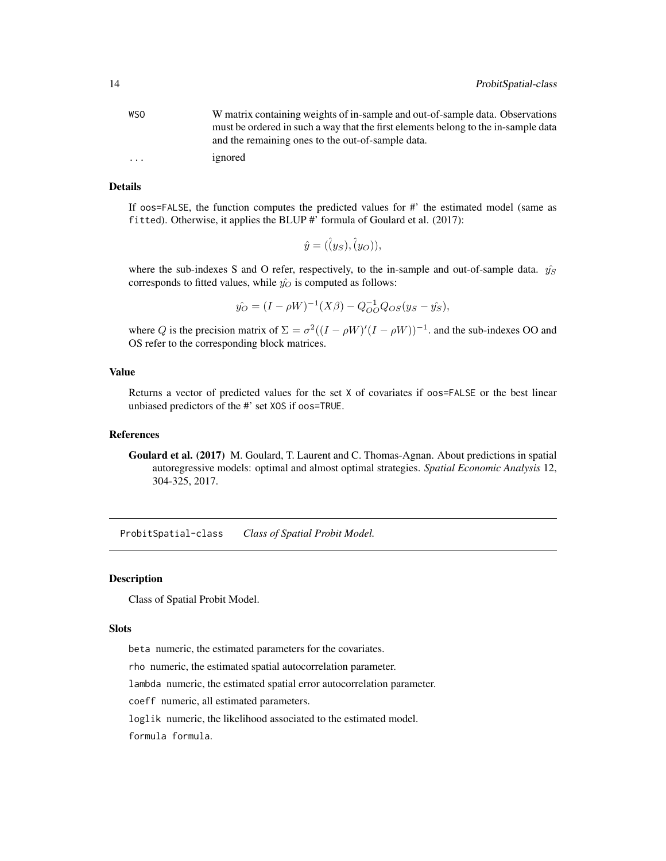<span id="page-13-0"></span>

| <b>WSO</b> | W matrix containing weights of in-sample and out-of-sample data. Observations      |
|------------|------------------------------------------------------------------------------------|
|            | must be ordered in such a way that the first elements belong to the in-sample data |
|            | and the remaining ones to the out-of-sample data.                                  |
| $\cdots$   | ignored                                                                            |

#### Details

If oos=FALSE, the function computes the predicted values for #' the estimated model (same as fitted). Otherwise, it applies the BLUP #' formula of Goulard et al. (2017):

$$
\hat{y} = (\hat{(y}_S), \hat{(y}_O)),
$$

where the sub-indexes S and O refer, respectively, to the in-sample and out-of-sample data.  $\hat{y_S}$ corresponds to fitted values, while  $\hat{y_O}$  is computed as follows:

$$
\hat{y_O} = (I - \rho W)^{-1} (X\beta) - Q_{OO}^{-1} Q_{OS} (y_S - \hat{y_S}),
$$

where Q is the precision matrix of  $\Sigma = \sigma^2((I - \rho W)'(I - \rho W))^{-1}$ . and the sub-indexes OO and OS refer to the corresponding block matrices.

#### Value

Returns a vector of predicted values for the set X of covariates if oos=FALSE or the best linear unbiased predictors of the #' set XOS if oos=TRUE.

#### References

Goulard et al. (2017) M. Goulard, T. Laurent and C. Thomas-Agnan. About predictions in spatial autoregressive models: optimal and almost optimal strategies. *Spatial Economic Analysis* 12, 304-325, 2017.

ProbitSpatial-class *Class of Spatial Probit Model.*

#### Description

Class of Spatial Probit Model.

#### Slots

beta numeric, the estimated parameters for the covariates.

rho numeric, the estimated spatial autocorrelation parameter.

lambda numeric, the estimated spatial error autocorrelation parameter.

coeff numeric, all estimated parameters.

loglik numeric, the likelihood associated to the estimated model.

formula formula.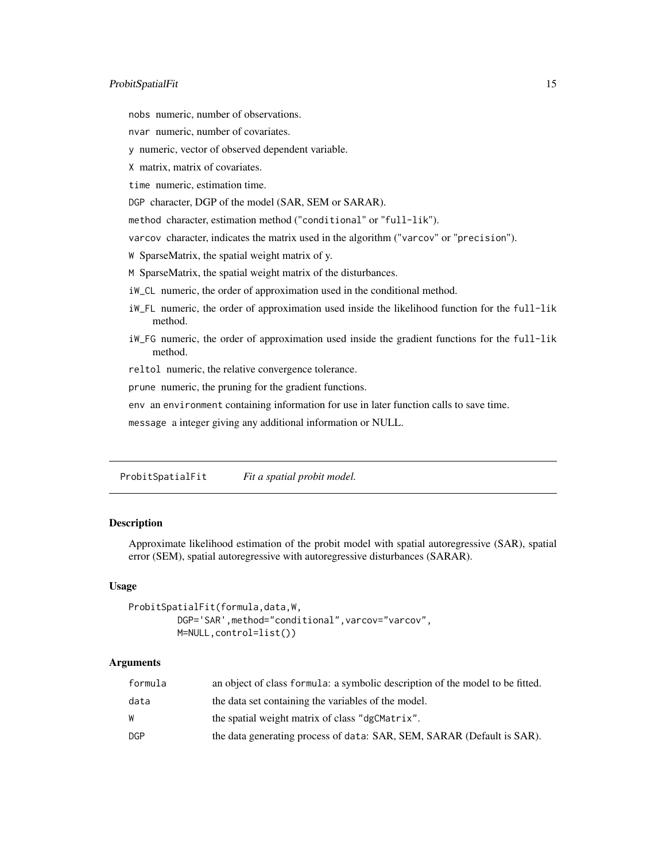# <span id="page-14-0"></span>ProbitSpatialFit 15

nobs numeric, number of observations.

nvar numeric, number of covariates.

y numeric, vector of observed dependent variable.

X matrix, matrix of covariates.

time numeric, estimation time.

DGP character, DGP of the model (SAR, SEM or SARAR).

method character, estimation method ("conditional" or "full-lik").

varcov character, indicates the matrix used in the algorithm ("varcov" or "precision").

W SparseMatrix, the spatial weight matrix of y.

M SparseMatrix, the spatial weight matrix of the disturbances.

iW\_CL numeric, the order of approximation used in the conditional method.

- iW\_FL numeric, the order of approximation used inside the likelihood function for the full-lik method.
- iW\_FG numeric, the order of approximation used inside the gradient functions for the full-lik method.

reltol numeric, the relative convergence tolerance.

prune numeric, the pruning for the gradient functions.

env an environment containing information for use in later function calls to save time.

message a integer giving any additional information or NULL.

<span id="page-14-1"></span>ProbitSpatialFit *Fit a spatial probit model.*

#### Description

Approximate likelihood estimation of the probit model with spatial autoregressive (SAR), spatial error (SEM), spatial autoregressive with autoregressive disturbances (SARAR).

#### Usage

```
ProbitSpatialFit(formula,data,W,
         DGP='SAR',method="conditional",varcov="varcov",
        M=NULL,control=list())
```
# Arguments

| formula | an object of class formula: a symbolic description of the model to be fitted. |
|---------|-------------------------------------------------------------------------------|
| data    | the data set containing the variables of the model.                           |
| W       | the spatial weight matrix of class "dgCMatrix".                               |
| DGP     | the data generating process of data: SAR, SEM, SARAR (Default is SAR).        |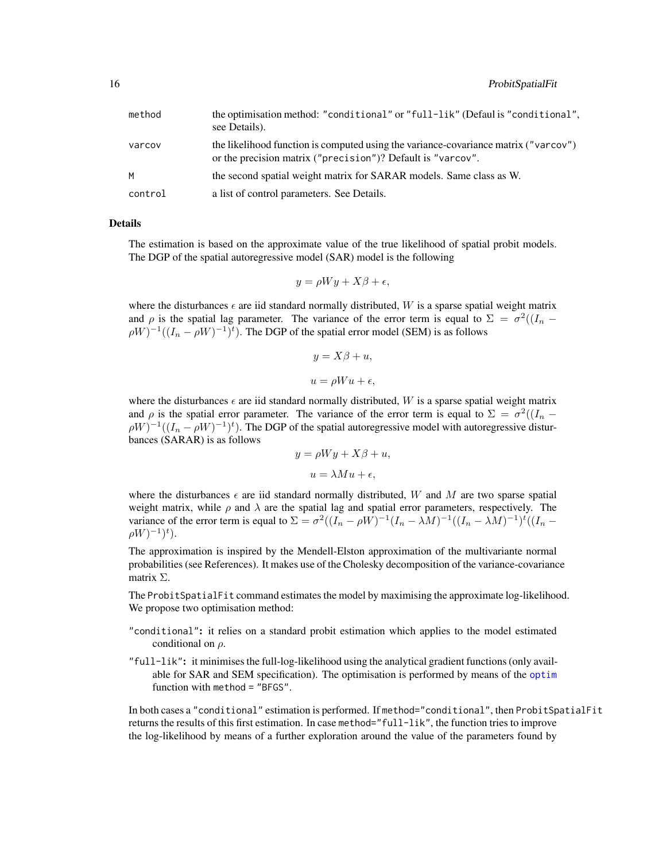<span id="page-15-0"></span>

| method  | the optimisation method: "conditional" or "full-lik" (Defaul is "conditional",<br>see Details).                                                    |
|---------|----------------------------------------------------------------------------------------------------------------------------------------------------|
| varcov  | the likelihood function is computed using the variance-covariance matrix ("varcov")<br>or the precision matrix ("precision")? Default is "varcov". |
| M       | the second spatial weight matrix for SARAR models. Same class as W.                                                                                |
| control | a list of control parameters. See Details.                                                                                                         |

#### Details

The estimation is based on the approximate value of the true likelihood of spatial probit models. The DGP of the spatial autoregressive model (SAR) model is the following

$$
y = \rho Wy + X\beta + \epsilon,
$$

where the disturbances  $\epsilon$  are iid standard normally distributed, W is a sparse spatial weight matrix and  $\rho$  is the spatial lag parameter. The variance of the error term is equal to  $\Sigma = \sigma^2((I_n - I_n))$  $\rho W)^{-1}((I_n - \rho W)^{-1})^t$ ). The DGP of the spatial error model (SEM) is as follows

$$
y = X\beta + u,
$$
  

$$
u = \rho W u + \epsilon,
$$

where the disturbances  $\epsilon$  are iid standard normally distributed, W is a sparse spatial weight matrix and  $\rho$  is the spatial error parameter. The variance of the error term is equal to  $\Sigma = \sigma^2((I_n - I_n))$  $\rho W)^{-1}((I_n - \rho W)^{-1})^t$ ). The DGP of the spatial autoregressive model with autoregressive disturbances (SARAR) is as follows

$$
y = \rho Wy + X\beta + u,
$$
  

$$
u = \lambda Mu + \epsilon,
$$

where the disturbances  $\epsilon$  are iid standard normally distributed, W and M are two sparse spatial weight matrix, while  $\rho$  and  $\lambda$  are the spatial lag and spatial error parameters, respectively. The variance of the error term is equal to  $\Sigma = \sigma^2((I_n - \rho W)^{-1}(I_n - \lambda M)^{-1}((I_n - \lambda M)^{-1})^t((I_n - \lambda M)^{-1})$  $\rho W)^{-1})^t$ ).

The approximation is inspired by the Mendell-Elston approximation of the multivariante normal probabilities (see References). It makes use of the Cholesky decomposition of the variance-covariance matrix Σ.

The ProbitSpatialFit command estimates the model by maximising the approximate log-likelihood. We propose two optimisation method:

- "conditional": it relies on a standard probit estimation which applies to the model estimated conditional on  $\rho$ .
- "full-lik": it minimises the full-log-likelihood using the analytical gradient functions (only available for SAR and SEM specification). The optimisation is performed by means of the [optim](#page-0-0) function with method = "BFGS".

In both cases a "conditional" estimation is performed. If method="conditional", then ProbitSpatialFit returns the results of this first estimation. In case method="full-lik", the function tries to improve the log-likelihood by means of a further exploration around the value of the parameters found by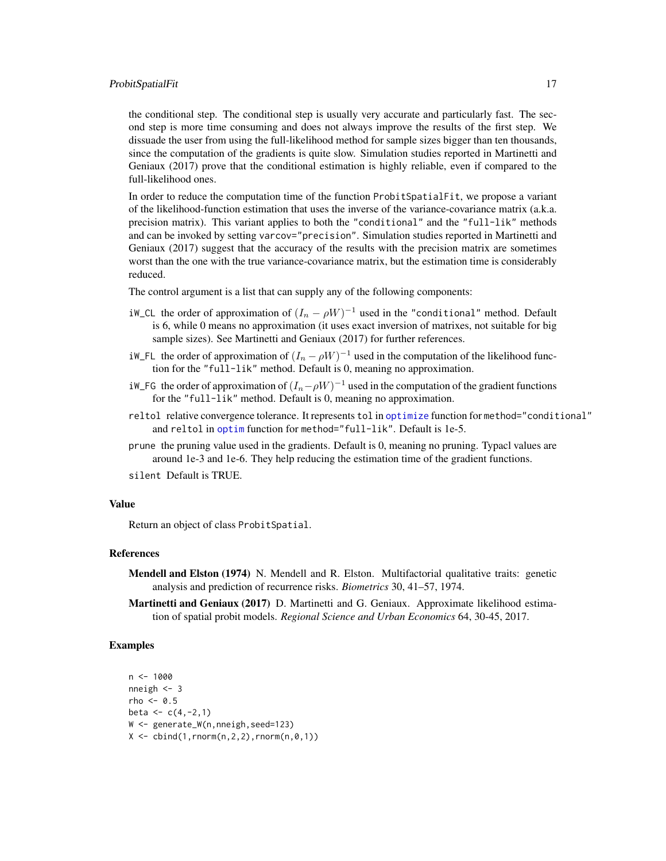#### <span id="page-16-0"></span>ProbitSpatialFit 17

the conditional step. The conditional step is usually very accurate and particularly fast. The second step is more time consuming and does not always improve the results of the first step. We dissuade the user from using the full-likelihood method for sample sizes bigger than ten thousands, since the computation of the gradients is quite slow. Simulation studies reported in Martinetti and Geniaux (2017) prove that the conditional estimation is highly reliable, even if compared to the full-likelihood ones.

In order to reduce the computation time of the function ProbitSpatialFit, we propose a variant of the likelihood-function estimation that uses the inverse of the variance-covariance matrix (a.k.a. precision matrix). This variant applies to both the "conditional" and the "full-lik" methods and can be invoked by setting varcov="precision". Simulation studies reported in Martinetti and Geniaux (2017) suggest that the accuracy of the results with the precision matrix are sometimes worst than the one with the true variance-covariance matrix, but the estimation time is considerably reduced.

The control argument is a list that can supply any of the following components:

- iW\_CL the order of approximation of  $(I_n \rho W)^{-1}$  used in the "conditional" method. Default is 6, while 0 means no approximation (it uses exact inversion of matrixes, not suitable for big sample sizes). See Martinetti and Geniaux (2017) for further references.
- iW\_FL the order of approximation of  $(I_n \rho W)^{-1}$  used in the computation of the likelihood function for the "full-lik" method. Default is 0, meaning no approximation.
- iW\_FG the order of approximation of  $(I_n \rho W)^{-1}$  used in the computation of the gradient functions for the "full-lik" method. Default is 0, meaning no approximation.
- reltol relative convergence tolerance. It represents tol in [optimize](#page-0-0) function for method="conditional" and reltol in [optim](#page-0-0) function for method="full-lik". Default is 1e-5.
- prune the pruning value used in the gradients. Default is 0, meaning no pruning. Typacl values are around 1e-3 and 1e-6. They help reducing the estimation time of the gradient functions.

silent Default is TRUE.

#### Value

Return an object of class ProbitSpatial.

#### References

- Mendell and Elston (1974) N. Mendell and R. Elston. Multifactorial qualitative traits: genetic analysis and prediction of recurrence risks. *Biometrics* 30, 41–57, 1974.
- Martinetti and Geniaux (2017) D. Martinetti and G. Geniaux. Approximate likelihood estimation of spatial probit models. *Regional Science and Urban Economics* 64, 30-45, 2017.

# Examples

```
n <- 1000
nneigh <- 3
rho <-0.5beta <-c(4,-2,1)W <- generate_W(n,nneigh,seed=123)
X \leftarrow \text{cbind}(1, \text{rnorm}(n, 2, 2), \text{rnorm}(n, \emptyset, 1))
```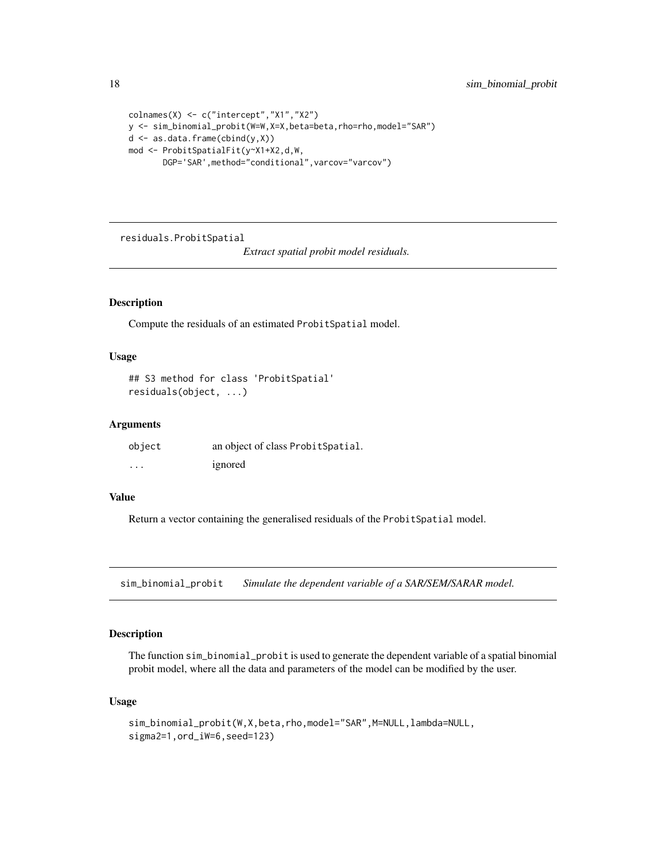```
colnames(X) <- c("intercept","X1","X2")
y <- sim_binomial_probit(W=W,X=X,beta=beta,rho=rho,model="SAR")
d <- as.data.frame(cbind(y,X))
mod <- ProbitSpatialFit(y~X1+X2,d,W,
       DGP='SAR',method="conditional",varcov="varcov")
```
residuals.ProbitSpatial

*Extract spatial probit model residuals.*

# Description

Compute the residuals of an estimated ProbitSpatial model.

#### Usage

```
## S3 method for class 'ProbitSpatial'
residuals(object, ...)
```
# Arguments

| object   | an object of class Probit Spatial. |
|----------|------------------------------------|
| $\cdots$ | ignored                            |

# Value

Return a vector containing the generalised residuals of the ProbitSpatial model.

<span id="page-17-1"></span>sim\_binomial\_probit *Simulate the dependent variable of a SAR/SEM/SARAR model.*

# Description

The function sim\_binomial\_probit is used to generate the dependent variable of a spatial binomial probit model, where all the data and parameters of the model can be modified by the user.

#### Usage

```
sim_binomial_probit(W,X,beta,rho,model="SAR",M=NULL,lambda=NULL,
sigma2=1,ord_iW=6,seed=123)
```
<span id="page-17-0"></span>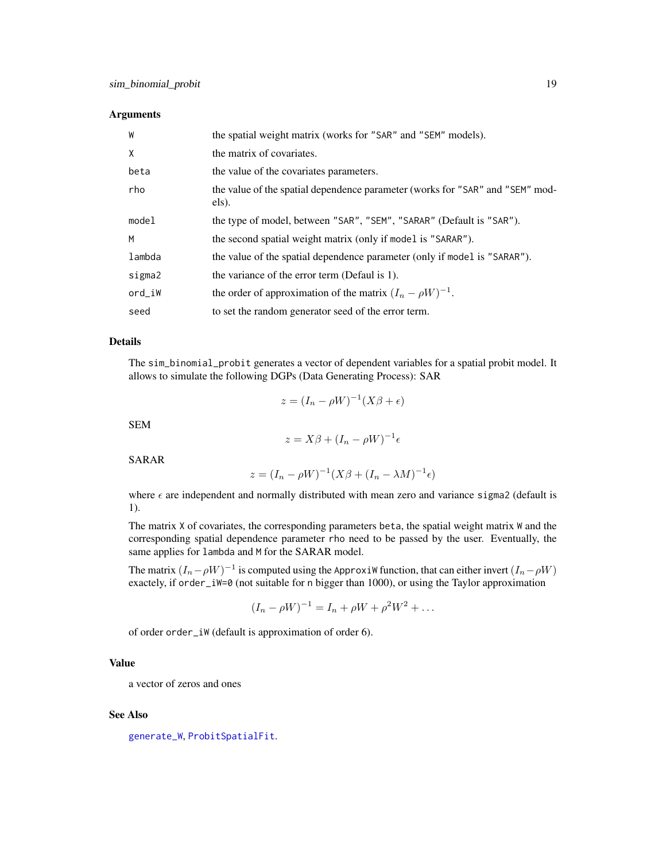#### <span id="page-18-0"></span>**Arguments**

| W      | the spatial weight matrix (works for "SAR" and "SEM" models).                          |
|--------|----------------------------------------------------------------------------------------|
| X      | the matrix of covariates.                                                              |
| beta   | the value of the covariates parameters.                                                |
| rho    | the value of the spatial dependence parameter (works for "SAR" and "SEM" mod-<br>els). |
| model  | the type of model, between "SAR", "SEM", "SARAR" (Default is "SAR").                   |
| M      | the second spatial weight matrix (only if model is "SARAR").                           |
| lambda | the value of the spatial dependence parameter (only if model is "SARAR").              |
| sigma2 | the variance of the error term (Defaul is 1).                                          |
| ord_iW | the order of approximation of the matrix $(I_n - \rho W)^{-1}$ .                       |
| seed   | to set the random generator seed of the error term.                                    |

### Details

The sim\_binomial\_probit generates a vector of dependent variables for a spatial probit model. It allows to simulate the following DGPs (Data Generating Process): SAR

$$
z = (I_n - \rho W)^{-1} (X\beta + \epsilon)
$$

SEM

$$
z = X\beta + (I_n - \rho W)^{-1} \epsilon
$$

SARAR

$$
z = (I_n - \rho W)^{-1} (X\beta + (I_n - \lambda M)^{-1} \epsilon)
$$

where  $\epsilon$  are independent and normally distributed with mean zero and variance sigma2 (default is 1).

The matrix X of covariates, the corresponding parameters beta, the spatial weight matrix W and the corresponding spatial dependence parameter rho need to be passed by the user. Eventually, the same applies for lambda and M for the SARAR model.

The matrix  $(I_n - \rho W)^{-1}$  is computed using the ApproxiW function, that can either invert  $(I_n - \rho W)$ exactely, if order\_iW=0 (not suitable for n bigger than 1000), or using the Taylor approximation

$$
(I_n - \rho W)^{-1} = I_n + \rho W + \rho^2 W^2 + \dots
$$

of order order\_iW (default is approximation of order 6).

# Value

a vector of zeros and ones

#### See Also

[generate\\_W](#page-7-1), [ProbitSpatialFit](#page-14-1).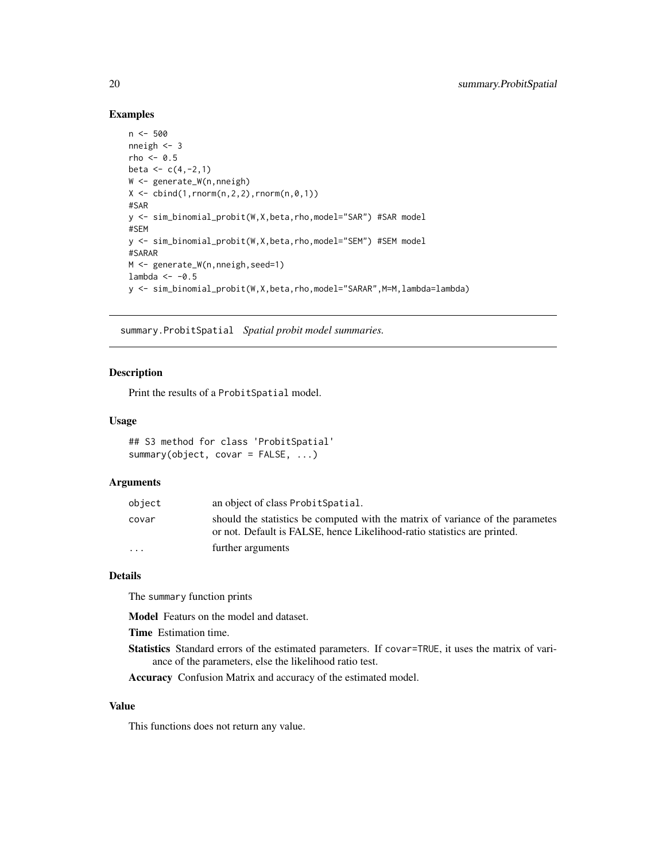#### Examples

```
n <- 500
nneigh <-3rho <-0.5beta <-c(4,-2,1)W <- generate_W(n,nneigh)
X \leftarrow \text{cbind}(1, \text{rnorm}(n, 2, 2), \text{rnorm}(n, \emptyset, 1))#SAR
y <- sim_binomial_probit(W,X,beta,rho,model="SAR") #SAR model
#SEM
y <- sim_binomial_probit(W,X,beta,rho,model="SEM") #SEM model
#SARAR
M <- generate_W(n,nneigh,seed=1)
lambda <- -0.5
y <- sim_binomial_probit(W,X,beta,rho,model="SARAR",M=M,lambda=lambda)
```
summary.ProbitSpatial *Spatial probit model summaries.*

#### Description

Print the results of a ProbitSpatial model.

#### Usage

```
## S3 method for class 'ProbitSpatial'
summary(object, covar = FALSE, ...)
```
#### Arguments

| object                  | an object of class Probit Spatial.                                                                                                                         |
|-------------------------|------------------------------------------------------------------------------------------------------------------------------------------------------------|
| covar                   | should the statistics be computed with the matrix of variance of the parametes<br>or not. Default is FALSE, hence Likelihood-ratio statistics are printed. |
| $\cdot$ $\cdot$ $\cdot$ | further arguments                                                                                                                                          |

#### Details

The summary function prints

Model Featurs on the model and dataset.

Time Estimation time.

Statistics Standard errors of the estimated parameters. If covar=TRUE, it uses the matrix of variance of the parameters, else the likelihood ratio test.

Accuracy Confusion Matrix and accuracy of the estimated model.

#### Value

This functions does not return any value.

<span id="page-19-0"></span>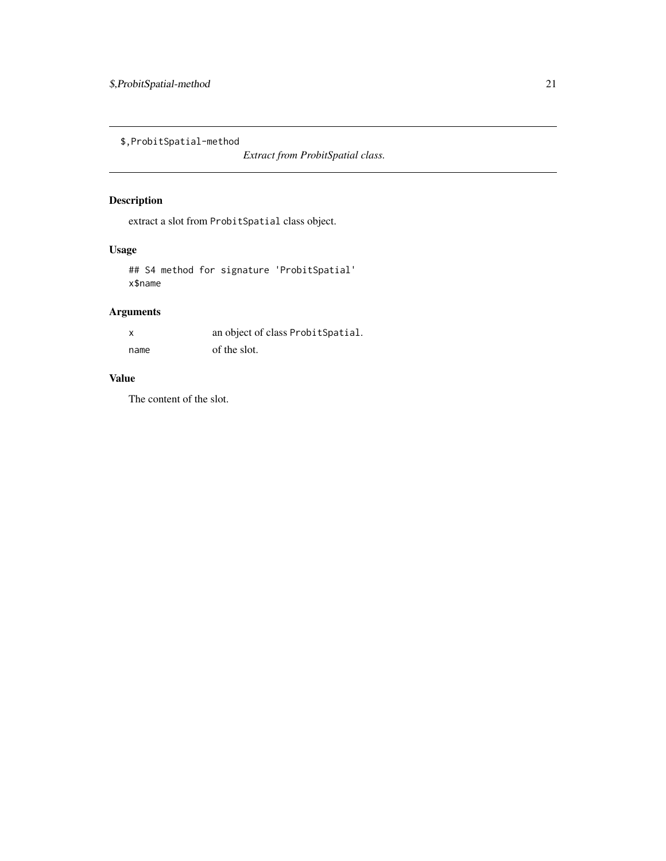<span id="page-20-0"></span>\$,ProbitSpatial-method

*Extract from ProbitSpatial class.*

# Description

extract a slot from ProbitSpatial class object.

# Usage

## S4 method for signature 'ProbitSpatial' x\$name

# Arguments

| X    | an object of class Probit Spatial. |
|------|------------------------------------|
| name | of the slot.                       |

# Value

The content of the slot.